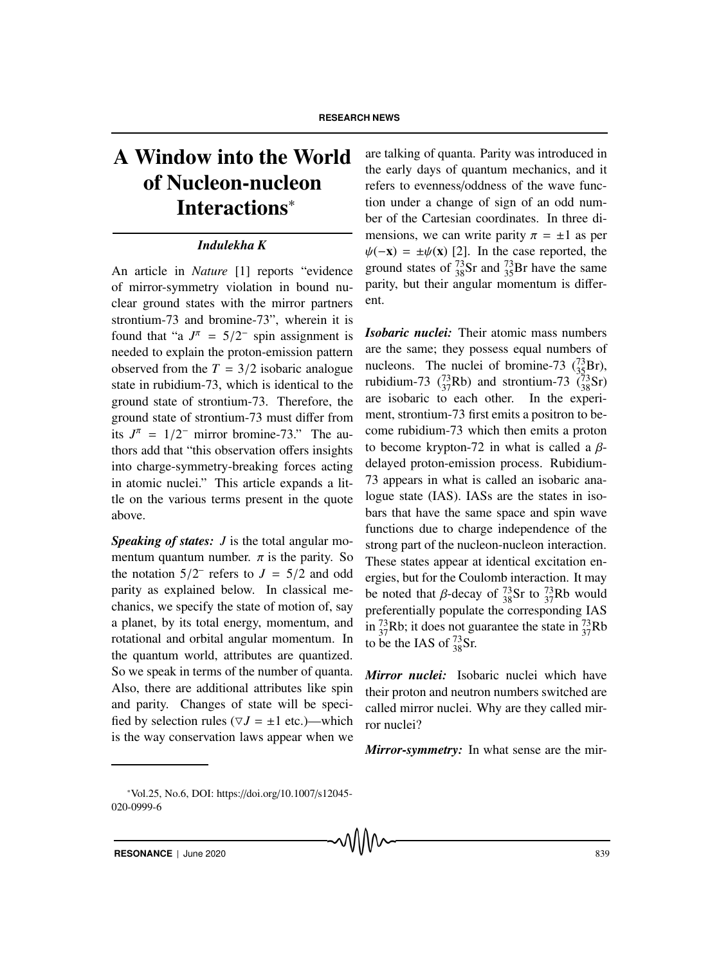# A Window into the World of Nucleon-nucleon Interactions<sup>∗</sup>

## *Indulekha K*

An article in *Nature* [1] reports "evidence of mirror-symmetry violation in bound nuclear ground states with the mirror partners strontium-73 and bromine-73", wherein it is found that "a  $J^{\pi} = 5/2^-$  spin assignment is needed to explain the proton-emission pattern observed from the  $T = 3/2$  isobaric analogue state in rubidium-73, which is identical to the ground state of strontium-73. Therefore, the ground state of strontium-73 must differ from its  $J^{\pi} = 1/2^-$  mirror bromine-73." The authors add that "this observation offers insights into charge-symmetry-breaking forces acting in atomic nuclei." This article expands a little on the various terms present in the quote above.

*Speaking of states: J* is the total angular momentum quantum number.  $\pi$  is the parity. So the notation  $5/2^-$  refers to  $J = 5/2$  and odd parity as explained below. In classical mechanics, we specify the state of motion of, say a planet, by its total energy, momentum, and rotational and orbital angular momentum. In the quantum world, attributes are quantized. So we speak in terms of the number of quanta. Also, there are additional attributes like spin and parity. Changes of state will be specified by selection rules ( $\nabla J = \pm 1$  etc.)—which is the way conservation laws appear when we

are talking of quanta. Parity was introduced in the early days of quantum mechanics, and it refers to evenness/oddness of the wave function under a change of sign of an odd number of the Cartesian coordinates. In three dimensions, we can write parity  $\pi = \pm 1$  as per  $\psi(-\mathbf{x}) = \pm \psi(\mathbf{x})$  [2]. In the case reported, the ground states of  $^{73}_{38}Sr$  and  $^{73}_{35}Br$  have the same parity, but their angular momentum is different.

*Isobaric nuclei:* Their atomic mass numbers are the same; they possess equal numbers of nucleons. The nuclei of bromine-73  $\binom{73}{35}$ Br), rubidium-73  $\binom{73}{37}Rb$  and strontium-73  $\binom{73}{38}Sr$ are isobaric to each other. In the experiment, strontium-73 first emits a positron to become rubidium-73 which then emits a proton to become krypton-72 in what is called a  $\beta$ delayed proton-emission process. Rubidium-73 appears in what is called an isobaric analogue state (IAS). IASs are the states in isobars that have the same space and spin wave functions due to charge independence of the strong part of the nucleon-nucleon interaction. These states appear at identical excitation energies, but for the Coulomb interaction. It may be noted that  $\beta$ -decay of  $^{73}_{38}$ Sr to  $^{73}_{37}$ Rb would preferentially populate the corresponding IAS in  $^{73}_{37}$ Rb; it does not guarantee the state in  $^{73}_{37}$ Rb to be the IAS of  $^{73}_{38}$ Sr.

*Mirror nuclei:* Isobaric nuclei which have their proton and neutron numbers switched are called mirror nuclei. Why are they called mirror nuclei?

*Mirror-symmetry:* In what sense are the mir-

<sup>∗</sup>Vol.25, No.6, DOI: https://doi.org/10.1007/s12045- 020-0999-6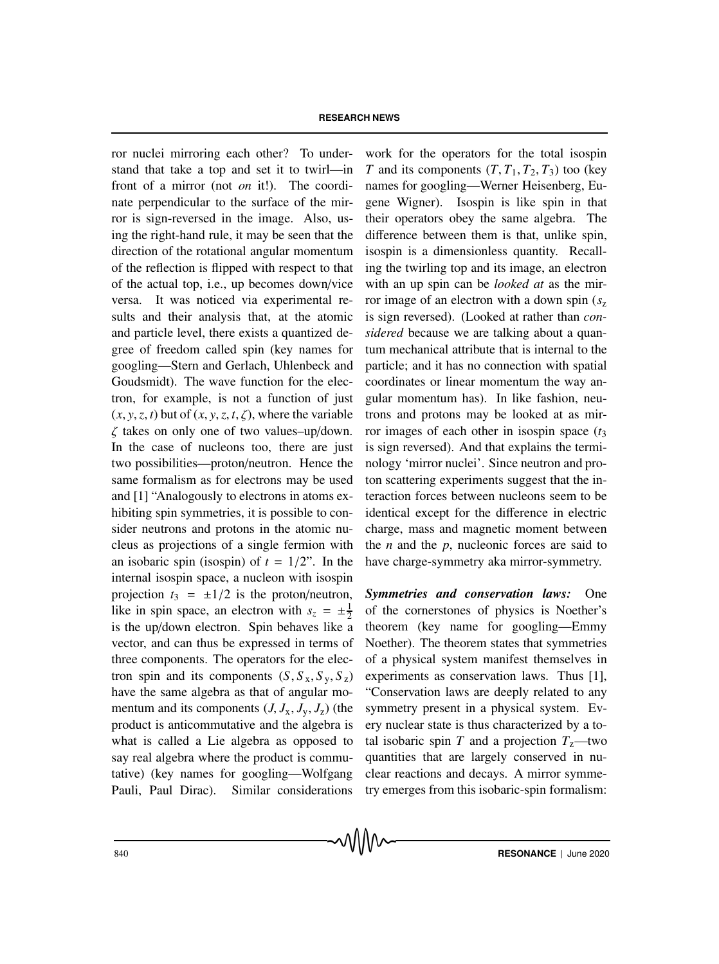#### **RESEARCH NEWS**

ror nuclei mirroring each other? To understand that take a top and set it to twirl—in front of a mirror (not *on* it!). The coordinate perpendicular to the surface of the mirror is sign-reversed in the image. Also, using the right-hand rule, it may be seen that the direction of the rotational angular momentum of the reflection is flipped with respect to that of the actual top, i.e., up becomes down/vice versa. It was noticed via experimental results and their analysis that, at the atomic and particle level, there exists a quantized degree of freedom called spin (key names for googling—Stern and Gerlach, Uhlenbeck and Goudsmidt). The wave function for the electron, for example, is not a function of just  $(x, y, z, t)$  but of  $(x, y, z, t, \zeta)$ , where the variable ζ takes on only one of two values–up/down. In the case of nucleons too, there are just two possibilities—proton/neutron. Hence the same formalism as for electrons may be used and [1] "Analogously to electrons in atoms exhibiting spin symmetries, it is possible to consider neutrons and protons in the atomic nucleus as projections of a single fermion with an isobaric spin (isospin) of  $t = 1/2$ ". In the internal isospin space, a nucleon with isospin projection  $t_3 = \pm 1/2$  is the proton/neutron, like in spin space, an electron with  $s_z = \pm \frac{1}{2}$ is the up/down electron. Spin behaves like a vector, and can thus be expressed in terms of three components. The operators for the electron spin and its components  $(S, S_x, S_y, S_z)$ have the same algebra as that of angular momentum and its components  $(J, J_x, J_y, J_z)$  (the product is anticommutative and the algebra is what is called a Lie algebra as opposed to say real algebra where the product is commutative) (key names for googling—Wolfgang Pauli, Paul Dirac). Similar considerations

work for the operators for the total isospin *T* and its components  $(T, T_1, T_2, T_3)$  too (key names for googling—Werner Heisenberg, Eugene Wigner). Isospin is like spin in that their operators obey the same algebra. The difference between them is that, unlike spin, isospin is a dimensionless quantity. Recalling the twirling top and its image, an electron with an up spin can be *looked at* as the mirror image of an electron with a down spin ( $s<sub>z</sub>$ ) is sign reversed). (Looked at rather than *considered* because we are talking about a quantum mechanical attribute that is internal to the particle; and it has no connection with spatial coordinates or linear momentum the way angular momentum has). In like fashion, neutrons and protons may be looked at as mirror images of each other in isospin space (*t*<sup>3</sup> is sign reversed). And that explains the terminology 'mirror nuclei'. Since neutron and proton scattering experiments suggest that the interaction forces between nucleons seem to be identical except for the difference in electric charge, mass and magnetic moment between the *n* and the *p*, nucleonic forces are said to have charge-symmetry aka mirror-symmetry.

*Symmetries and conservation laws:* One of the cornerstones of physics is Noether's theorem (key name for googling—Emmy Noether). The theorem states that symmetries of a physical system manifest themselves in experiments as conservation laws. Thus [1], "Conservation laws are deeply related to any symmetry present in a physical system. Every nuclear state is thus characterized by a total isobaric spin *T* and a projection  $T_z$ —two quantities that are largely conserved in nuclear reactions and decays. A mirror symmetry emerges from this isobaric-spin formalism: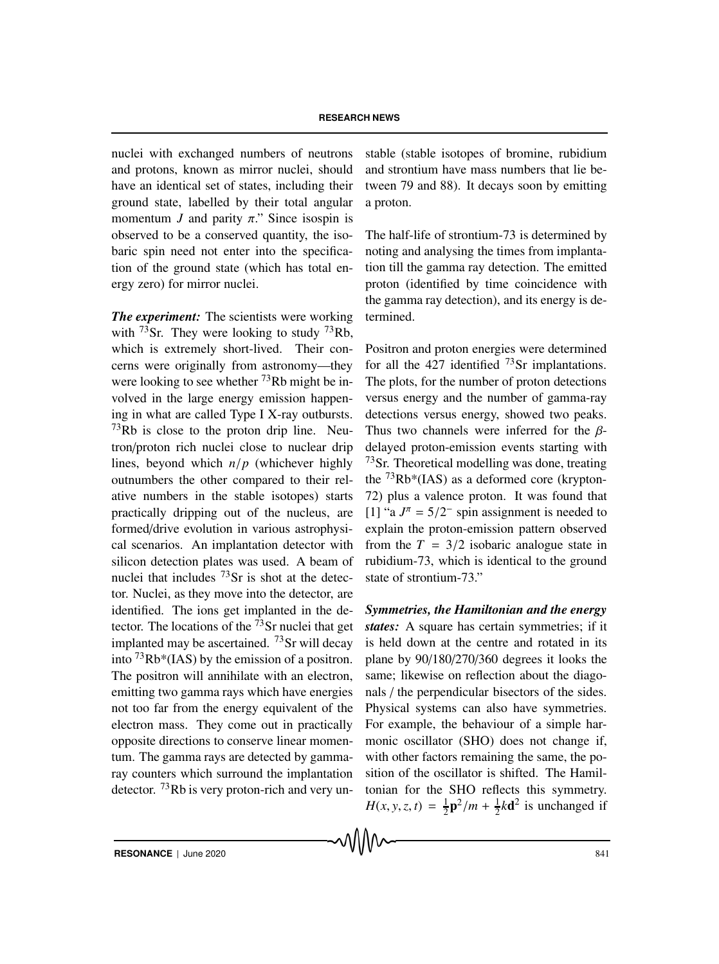#### **RESEARCH NEWS**

nuclei with exchanged numbers of neutrons and protons, known as mirror nuclei, should have an identical set of states, including their ground state, labelled by their total angular momentum *J* and parity  $\pi$ ." Since isospin is observed to be a conserved quantity, the isobaric spin need not enter into the specification of the ground state (which has total energy zero) for mirror nuclei.

*The experiment:* The scientists were working with  $^{73}$ Sr. They were looking to study  $^{73}$ Rb, which is extremely short-lived. Their concerns were originally from astronomy—they were looking to see whether  $^{73}$ Rb might be involved in the large energy emission happening in what are called Type I X-ray outbursts.  $^{73}$ Rb is close to the proton drip line. Neutron/proton rich nuclei close to nuclear drip lines, beyond which *n*/*p* (whichever highly outnumbers the other compared to their relative numbers in the stable isotopes) starts practically dripping out of the nucleus, are formed/drive evolution in various astrophysical scenarios. An implantation detector with silicon detection plates was used. A beam of nuclei that includes 73Sr is shot at the detector. Nuclei, as they move into the detector, are identified. The ions get implanted in the detector. The locations of the  $^{73}$ Sr nuclei that get implanted may be ascertained.  $^{73}$ Sr will decay into  $^{73}Rb*(IAS)$  by the emission of a positron. The positron will annihilate with an electron, emitting two gamma rays which have energies not too far from the energy equivalent of the electron mass. They come out in practically opposite directions to conserve linear momentum. The gamma rays are detected by gammaray counters which surround the implantation detector. 73Rb is very proton-rich and very unstable (stable isotopes of bromine, rubidium and strontium have mass numbers that lie between 79 and 88). It decays soon by emitting a proton.

The half-life of strontium-73 is determined by noting and analysing the times from implantation till the gamma ray detection. The emitted proton (identified by time coincidence with the gamma ray detection), and its energy is determined.

Positron and proton energies were determined for all the 427 identified  $^{73}$ Sr implantations. The plots, for the number of proton detections versus energy and the number of gamma-ray detections versus energy, showed two peaks. Thus two channels were inferred for the  $\beta$ delayed proton-emission events starting with  $^{73}$ Sr. Theoretical modelling was done, treating the  $^{73}Rb*(IAS)$  as a deformed core (krypton-72) plus a valence proton. It was found that [1] "a  $J^{\pi} = 5/2^-$  spin assignment is needed to explain the proton-emission pattern observed from the  $T = 3/2$  isobaric analogue state in rubidium-73, which is identical to the ground state of strontium-73."

*Symmetries, the Hamiltonian and the energy states:* A square has certain symmetries; if it is held down at the centre and rotated in its plane by 90/180/270/360 degrees it looks the same; likewise on reflection about the diagonals / the perpendicular bisectors of the sides. Physical systems can also have symmetries. For example, the behaviour of a simple harmonic oscillator (SHO) does not change if, with other factors remaining the same, the position of the oscillator is shifted. The Hamiltonian for the SHO reflects this symmetry.  $H(x, y, z, t) = \frac{1}{2}\mathbf{p}^2/m + \frac{1}{2}k\mathbf{d}^2$  is unchanged if